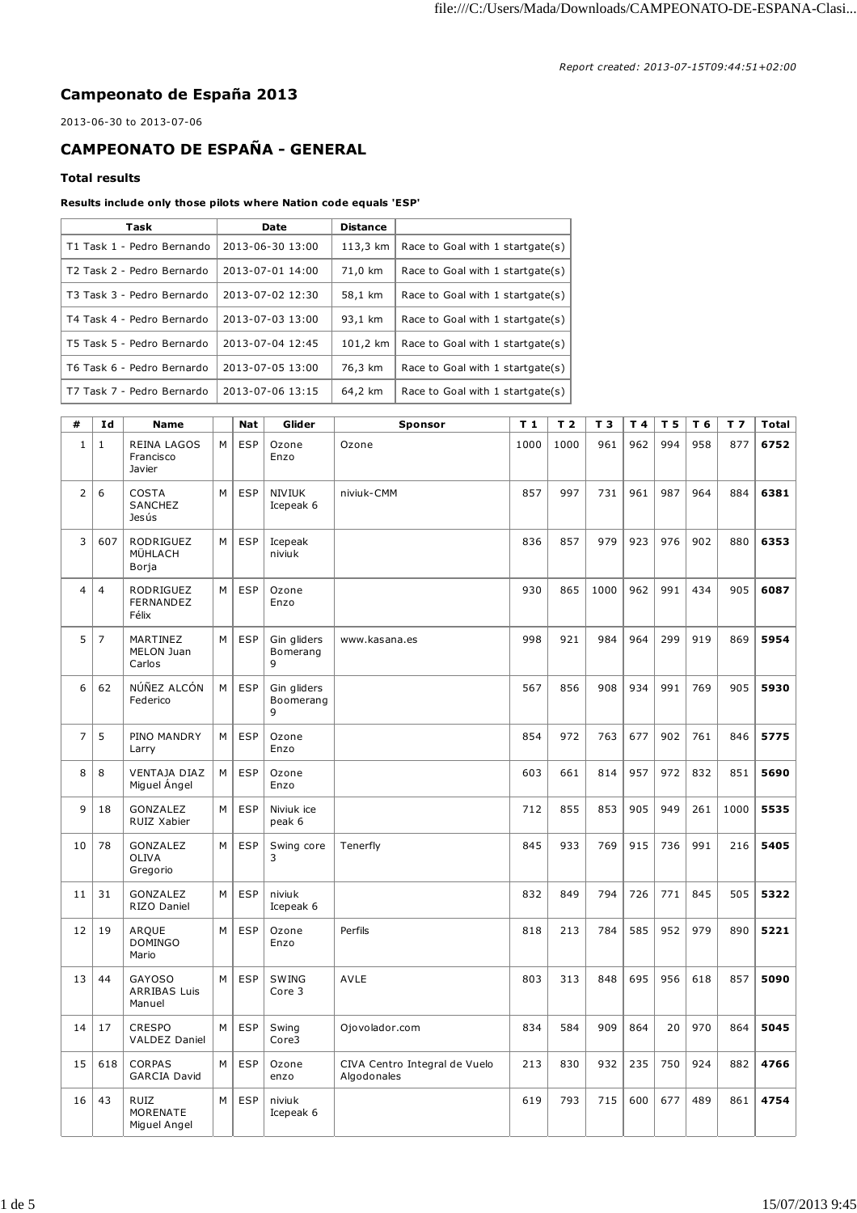## **Campeonato de España 2013**

2013-06-30 to 2013-07-06

## **CAMPEONATO DE ESPAÑA - GENERAL**

## **Total results**

## **Results include only those pilots where Nation code equals 'ESP'**

| Task                                   | Date             | <b>Distance</b> |                                  |
|----------------------------------------|------------------|-----------------|----------------------------------|
| T1 Task 1 - Pedro Bernando             | 2013-06-30 13:00 | 113,3 km        | Race to Goal with 1 startgate(s) |
| T <sub>2</sub> Task 2 - Pedro Bernardo | 2013-07-01 14:00 | 71,0 km         | Race to Goal with 1 startgate(s) |
| T3 Task 3 - Pedro Bernardo             | 2013-07-02 12:30 | 58,1 km         | Race to Goal with 1 startgate(s) |
| T4 Task 4 - Pedro Bernardo             | 2013-07-03 13:00 | 93.1 km         | Race to Goal with 1 startgate(s) |
| T5 Task 5 - Pedro Bernardo             | 2013-07-04 12:45 | 101,2 km        | Race to Goal with 1 startgate(s) |
| T6 Task 6 - Pedro Bernardo             | 2013-07-05 13:00 | 76,3 km         | Race to Goal with 1 startgate(s) |
| T7 Task 7 - Pedro Bernardo             | 2013-07-06 13:15 | 64,2 km         | Race to Goal with 1 startgate(s) |
|                                        |                  |                 |                                  |

| #              | Ιd             | <b>Name</b>                                   |   | <b>Nat</b> | Glider                        | <b>Sponsor</b>                               | T <sub>1</sub> | T <sub>2</sub> | T <sub>3</sub> | T <sub>4</sub> | T 5 | T 6 | T <sub>7</sub> | Total |
|----------------|----------------|-----------------------------------------------|---|------------|-------------------------------|----------------------------------------------|----------------|----------------|----------------|----------------|-----|-----|----------------|-------|
| $\mathbf{1}$   | $\mathbf{1}$   | <b>REINA LAGOS</b><br>Francisco<br>Javier     | M | ESP        | Ozone<br>Enzo                 | Ozone                                        | 1000           | 1000           | 961            | 962            | 994 | 958 | 877            | 6752  |
| $\overline{2}$ | 6              | COSTA<br><b>SANCHEZ</b><br>Jesús              | M | ESP        | <b>NIVIUK</b><br>Icepeak 6    | niviuk-CMM                                   | 857            | 997            | 731            | 961            | 987 | 964 | 884            | 6381  |
| 3              | 607            | <b>RODRIGUEZ</b><br>MÜHLACH<br>Borja          | M | ESP        | Icepeak<br>niviuk             |                                              | 836            | 857            | 979            | 923            | 976 | 902 | 880            | 6353  |
| 4              | $\overline{4}$ | <b>RODRIGUEZ</b><br><b>FERNANDEZ</b><br>Félix | M | ESP        | Ozone<br>Enzo                 |                                              | 930            | 865            | 1000           | 962            | 991 | 434 | 905            | 6087  |
| 5              | $\overline{7}$ | MARTINEZ<br><b>MELON Juan</b><br>Carlos       | M | ESP        | Gin gliders<br>Bomerang<br>9  | www.kasana.es                                | 998            | 921            | 984            | 964            | 299 | 919 | 869            | 5954  |
| 6              | 62             | NÚÑEZ ALCÓN<br>Federico                       | M | <b>ESP</b> | Gin gliders<br>Boomerang<br>9 |                                              | 567            | 856            | 908            | 934            | 991 | 769 | 905            | 5930  |
| 7              | 5              | PINO MANDRY<br>Larry                          | M | <b>ESP</b> | Ozone<br>Enzo                 |                                              | 854            | 972            | 763            | 677            | 902 | 761 | 846            | 5775  |
| 8              | 8              | VENTAJA DIAZ<br>Miguel Ángel                  | M | <b>ESP</b> | Ozone<br>Enzo                 |                                              | 603            | 661            | 814            | 957            | 972 | 832 | 851            | 5690  |
| 9              | 18             | GONZALEZ<br>RUIZ Xabier                       | M | <b>ESP</b> | Niviuk ice<br>peak 6          |                                              | 712            | 855            | 853            | 905            | 949 | 261 | 1000           | 5535  |
| 10             | 78             | GONZALEZ<br>OLIVA<br>Gregorio                 | M | <b>ESP</b> | Swing core<br>3               | Tenerfly                                     | 845            | 933            | 769            | 915            | 736 | 991 | 216            | 5405  |
| 11             | 31             | GONZALEZ<br>RIZO Daniel                       | M | <b>ESP</b> | niviuk<br>Icepeak 6           |                                              | 832            | 849            | 794            | 726            | 771 | 845 | 505            | 5322  |
| 12             | 19             | ARQUE<br><b>DOMINGO</b><br>Mario              | M | <b>ESP</b> | Ozone<br>Enzo                 | Perfils                                      | 818            | 213            | 784            | 585            | 952 | 979 | 890            | 5221  |
| 13             | 44             | GAYOSO<br><b>ARRIBAS Luis</b><br>Manuel       | M | <b>ESP</b> | SWING<br>Core 3               | AVLE                                         | 803            | 313            | 848            | 695            | 956 | 618 | 857            | 5090  |
| 14             | 17             | <b>CRESPO</b><br><b>VALDEZ Daniel</b>         | M | <b>ESP</b> | Swing<br>Core3                | Ojovolador.com                               | 834            | 584            | 909            | 864            | 20  | 970 | 864            | 5045  |
| 15             | 618            | <b>CORPAS</b><br><b>GARCIA David</b>          | M | <b>ESP</b> | Ozone<br>enzo                 | CIVA Centro Integral de Vuelo<br>Algodonales | 213            | 830            | 932            | 235            | 750 | 924 | 882            | 4766  |
| 16             | 43             | RUIZ<br>MORENATE<br>Miguel Angel              | M | <b>ESP</b> | niviuk<br>Icepeak 6           |                                              | 619            | 793            | 715            | 600            | 677 | 489 | 861            | 4754  |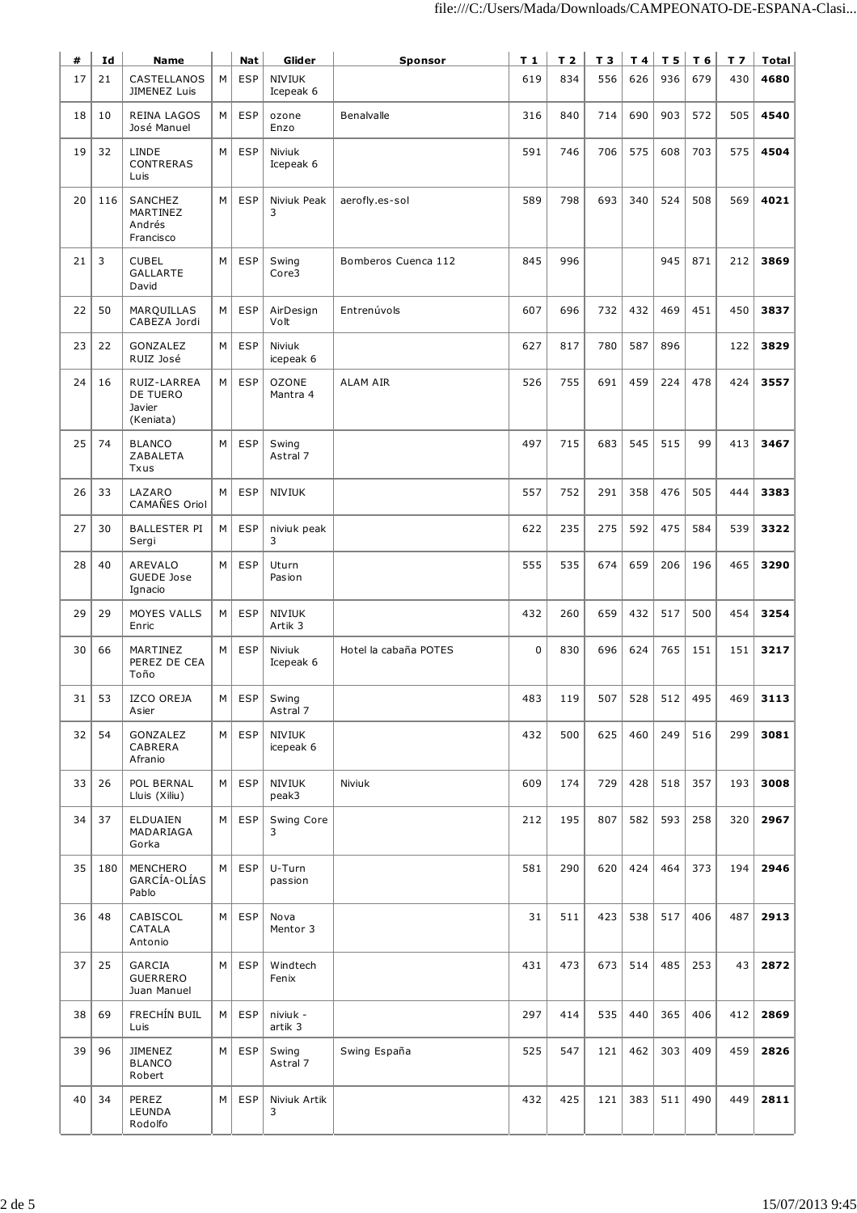| #  | Id  | <b>Name</b>                                           |   | Nat        | Glider                                | <b>Sponsor</b>        | $T_1$       | T <sub>2</sub> | T 3 |     | $T4$ T5           | $T_6$ | T <sub>7</sub> | Total |
|----|-----|-------------------------------------------------------|---|------------|---------------------------------------|-----------------------|-------------|----------------|-----|-----|-------------------|-------|----------------|-------|
| 17 | 21  | CASTELLANOS<br>JIMENEZ Luis                           | М | <b>ESP</b> | <b>NIVIUK</b><br>Icepeak 6            |                       | 619         | 834            | 556 | 626 | 936               | 679   | 430            | 4680  |
| 18 | 10  | REINA LAGOS<br>José Manuel                            | M | <b>ESP</b> | ozone<br>Enzo                         | Benalvalle            | 316         | 840            | 714 | 690 | 903               | 572   | 505            | 4540  |
| 19 | 32  | LINDE<br>CONTRERAS<br>Luis                            | M | <b>ESP</b> | Niviuk<br>Icepeak 6                   |                       | 591         | 746            | 706 | 575 | 608               | 703   | 575            | 4504  |
| 20 | 116 | SANCHEZ<br>MARTINEZ<br>Andrés<br>Francisco            | M | <b>ESP</b> | Niviuk Peak<br>3                      | aerofly.es-sol        | 589         | 798            | 693 | 340 | 524               | 508   | 569            | 4021  |
| 21 | 3   | <b>CUBEL</b><br>GALLARTE<br>David                     | м | <b>ESP</b> | Swing<br>Core3                        | Bomberos Cuenca 112   | 845         | 996            |     |     | 945               | 871   | 212            | 3869  |
| 22 | 50  | MARQUILLAS<br>CABEZA Jordi                            | M | <b>ESP</b> | AirDesign<br>Volt                     | Entrenúvols           | 607         | 696            | 732 | 432 | 469               | 451   | 450            | 3837  |
| 23 | 22  | <b>GONZALEZ</b><br>RUIZ José                          | M | <b>ESP</b> | Niviuk<br>icepeak 6                   |                       | 627         | 817            | 780 | 587 | 896               |       | 122            | 3829  |
| 24 | 16  | RUIZ-LARREA<br><b>DE TUERO</b><br>Javier<br>(Keniata) | M | <b>ESP</b> | <b>OZONE</b><br>Mantra 4              | <b>ALAM AIR</b>       | 526         | 755            | 691 | 459 | 224               | 478   | 424            | 3557  |
| 25 | 74  | <b>BLANCO</b><br>ZABALETA<br>Txus                     | M | <b>ESP</b> | Swing<br>Astral 7                     |                       | 497         | 715            | 683 | 545 | 515               | 99    | 413            | 3467  |
| 26 | 33  | LAZARO<br>CAMAÑES Oriol                               | M | <b>ESP</b> | <b>NIVIUK</b>                         |                       | 557         | 752            | 291 | 358 | 476               | 505   | 444            | 3383  |
| 27 | 30  | <b>BALLESTER PI</b><br>Sergi                          | M | <b>ESP</b> | niviuk peak<br>3                      |                       | 622         | 235            | 275 | 592 | 475               | 584   | 539            | 3322  |
| 28 | 40  | AREVALO<br>GUEDE Jose<br>Ignacio                      | м | <b>ESP</b> | Uturn<br>Pasion                       |                       | 555         | 535            | 674 | 659 | 206               | 196   | 465            | 3290  |
| 29 | 29  | <b>MOYES VALLS</b><br>Enric                           | M | <b>ESP</b> | <b>NIVIUK</b><br>Artik 3              |                       | 432         | 260            | 659 | 432 | 517               | 500   | 454            | 3254  |
| 30 | 66  | MARTINEZ<br>PEREZ DE CEA<br>Toño                      | M | <b>ESP</b> | Niviuk<br>Icepeak 6                   | Hotel la cabaña POTES | $\mathbf 0$ | 830            | 696 | 624 | 765               | 151   | 151            | 3217  |
| 31 | 53  | IZCO OREJA<br>Asier                                   |   |            | $M \, \epsilon$ ESP Swing<br>Astral 7 |                       | 483         | 119            |     |     | $507$ 528 512 495 |       | 469            | 3113  |
| 32 | 54  | GONZALEZ<br>CABRERA<br>Afranio                        | M | ESP        | <b>NIVIUK</b><br>icepeak 6            |                       | 432         | 500            | 625 | 460 | 249               | 516   | 299            | 3081  |
| 33 | 26  | POL BERNAL<br>Lluis (Xiliu)                           | м | ESP        | <b>NIVIUK</b><br>peak3                | Niviuk                | 609         | 174            | 729 | 428 | 518               | 357   | 193            | 3008  |
| 34 | 37  | ELDUAIEN<br>MADARIAGA<br>Gorka                        | м | ESP        | Swing Core<br>3                       |                       | 212         | 195            | 807 | 582 | 593               | 258   | 320            | 2967  |
| 35 | 180 | MENCHERO<br>GARCÍA-OLÍAS<br>Pablo                     | M | <b>ESP</b> | U-Turn<br>passion                     |                       | 581         | 290            | 620 | 424 | 464               | 373   | 194            | 2946  |
| 36 | 48  | CABISCOL<br>CATALA<br>Antonio                         | M | <b>ESP</b> | Nova<br>Mentor 3                      |                       | 31          | 511            | 423 | 538 | 517               | 406   | 487            | 2913  |
| 37 | 25  | GARCIA<br><b>GUERRERO</b><br>Juan Manuel              | M | <b>ESP</b> | Windtech<br>Fenix                     |                       | 431         | 473            | 673 | 514 | 485               | 253   | 43             | 2872  |
| 38 | 69  | FRECHÍN BUIL<br>Luis                                  | M | ESP        | niviuk -<br>artik 3                   |                       | 297         | 414            | 535 | 440 | 365               | 406   | 412            | 2869  |
| 39 | 96  | <b>JIMENEZ</b><br><b>BLANCO</b><br>Robert             | М | ESP        | Swing<br>Astral 7                     | Swing España          | 525         | 547            | 121 | 462 | 303               | 409   | 459            | 2826  |
| 40 | 34  | PEREZ<br>LEUNDA<br>Rodolfo                            | M | ESP        | Niviuk Artik<br>3                     |                       | 432         | 425            | 121 | 383 | 511               | 490   | 449            | 2811  |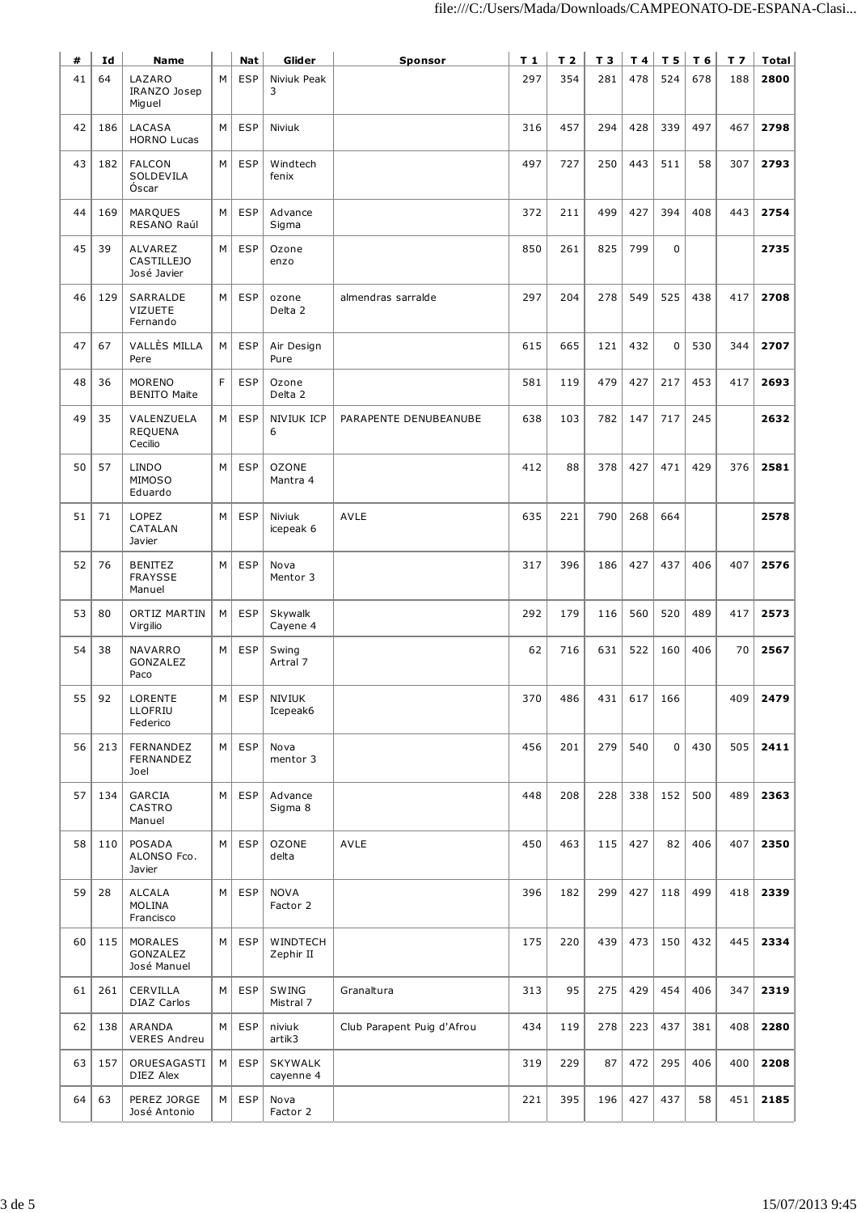| #  | Id  | <b>Name</b>                                 |                | <b>Nat</b> | Glider                        | <b>Sponsor</b>             | T 1 | T <sub>2</sub> | T 3 |           | $T4$ T5     | T 6 | T <sub>7</sub> | Total |
|----|-----|---------------------------------------------|----------------|------------|-------------------------------|----------------------------|-----|----------------|-----|-----------|-------------|-----|----------------|-------|
| 41 | 64  | LAZARO<br>IRANZO Josep<br>Miguel            | M              | <b>ESP</b> | Niviuk Peak<br>3              |                            | 297 | 354            | 281 | 478       | 524         | 678 | 188            | 2800  |
| 42 | 186 | LACASA<br><b>HORNO Lucas</b>                | M              | <b>ESP</b> | Niviuk                        |                            | 316 | 457            | 294 | 428       | 339         | 497 | 467            | 2798  |
| 43 | 182 | <b>FALCON</b><br>SOLDEVILA<br>Óscar         | M              | <b>ESP</b> | Windtech<br>fenix             |                            | 497 | 727            | 250 | 443       | 511         | 58  | 307            | 2793  |
| 44 | 169 | MARQUES<br>RESANO Raúl                      | M              | <b>ESP</b> | Advance<br>Sigma              |                            | 372 | 211            | 499 | 427       | 394         | 408 | 443            | 2754  |
| 45 | 39  | ALVAREZ<br><b>CASTILLEJO</b><br>José Javier | M              | <b>ESP</b> | Ozone<br>enzo                 |                            | 850 | 261            | 825 | 799       | $\mathbf 0$ |     |                | 2735  |
| 46 | 129 | SARRALDE<br>VIZUETE<br>Fernando             | M              | <b>ESP</b> | ozone<br>Delta 2              | almendras sarralde         | 297 | 204            | 278 | 549       | 525         | 438 | 417            | 2708  |
| 47 | 67  | VALLÈS MILLA<br>Pere                        | M              | <b>ESP</b> | Air Design<br>Pure            |                            | 615 | 665            | 121 | 432       | $\mathbf 0$ | 530 | 344            | 2707  |
| 48 | 36  | <b>MORENO</b><br><b>BENITO Maite</b>        | F              | <b>ESP</b> | Ozone<br>Delta 2              |                            | 581 | 119            | 479 | 427       | 217         | 453 | 417            | 2693  |
| 49 | 35  | VALENZUELA<br><b>REQUENA</b><br>Cecilio     | M              | <b>ESP</b> | NIVIUK ICP<br>6               | PARAPENTE DENUBEANUBE      | 638 | 103            | 782 | 147       | 717         | 245 |                | 2632  |
| 50 | 57  | <b>LINDO</b><br>MIMOSO<br>Eduardo           | M              | <b>ESP</b> | OZONE<br>Mantra 4             |                            | 412 | 88             | 378 | 427       | 471         | 429 | 376            | 2581  |
| 51 | 71  | LOPEZ<br>CATALAN<br>Javier                  | M              | <b>ESP</b> | Niviuk<br>icepeak 6           | <b>AVLE</b>                | 635 | 221            | 790 | 268       | 664         |     |                | 2578  |
| 52 | 76  | <b>BENITEZ</b><br><b>FRAYSSE</b><br>Manuel  | M              | <b>ESP</b> | Nova<br>Mentor 3              |                            | 317 | 396            | 186 | 427       | 437         | 406 | 407            | 2576  |
| 53 | 80  | ORTIZ MARTIN<br>Virgilio                    | M              | <b>ESP</b> | Skywalk<br>Cayene 4           |                            | 292 | 179            | 116 | 560       | 520         | 489 | 417            | 2573  |
| 54 | 38  | NAVARRO<br>GONZALEZ<br>Paco                 | M              | <b>ESP</b> | Swing<br>Artral 7             |                            | 62  | 716            | 631 | 522       | 160         | 406 | 70             | 2567  |
| 55 | 92  | LORENTE<br>LLOFRIU<br>Federico              |                |            | $M \,$ ESP NIVIUK<br>Icepeak6 |                            | 370 | 486            |     | 431   617 | 166         |     | 409            | 2479  |
| 56 | 213 | FERNANDEZ<br>FERNANDEZ<br>Joel              | м              | ESP        | Nova<br>mentor 3              |                            | 456 | 201            | 279 | 540       | $\mathbf 0$ | 430 | 505            | 2411  |
| 57 | 134 | GARCIA<br>CASTRO<br>Manuel                  | M              | <b>ESP</b> | Advance<br>Sigma 8            |                            | 448 | 208            | 228 | 338       | 152         | 500 | 489            | 2363  |
| 58 | 110 | <b>POSADA</b><br>ALONSO Fco.<br>Javier      | м              | <b>ESP</b> | <b>OZONE</b><br>delta         | AVLE                       | 450 | 463            | 115 | 427       | 82          | 406 | 407            | 2350  |
| 59 | 28  | <b>ALCALA</b><br><b>MOLINA</b><br>Francisco | M              | <b>ESP</b> | <b>NOVA</b><br>Factor 2       |                            | 396 | 182            | 299 | 427       | 118         | 499 | 418            | 2339  |
| 60 | 115 | MORALES<br>GONZALEZ<br>José Manuel          | M              | ESP        | WINDTECH<br>Zephir II         |                            | 175 | 220            | 439 | 473       | 150         | 432 | 445            | 2334  |
| 61 | 261 | CERVILLA<br><b>DIAZ Carlos</b>              | м              | <b>ESP</b> | SWING<br>Mistral 7            | Granaltura                 | 313 | 95             | 275 | 429       | 454         | 406 | 347            | 2319  |
| 62 | 138 | ARANDA<br><b>VERES Andreu</b>               | M              | <b>ESP</b> | niviuk<br>artik3              | Club Parapent Puig d'Afrou | 434 | 119            | 278 | 223       | 437         | 381 | 408            | 2280  |
| 63 | 157 | ORUESAGASTI<br>DIEZ Alex                    | м              | ESP        | <b>SKYWALK</b><br>cayenne 4   |                            | 319 | 229            | 87  | 472       | 295         | 406 | 400            | 2208  |
| 64 | 63  | PEREZ JORGE<br>José Antonio                 | M <sub>1</sub> | ESP        | Nova<br>Factor 2              |                            | 221 | 395            | 196 | 427       | 437         | 58  | 451            | 2185  |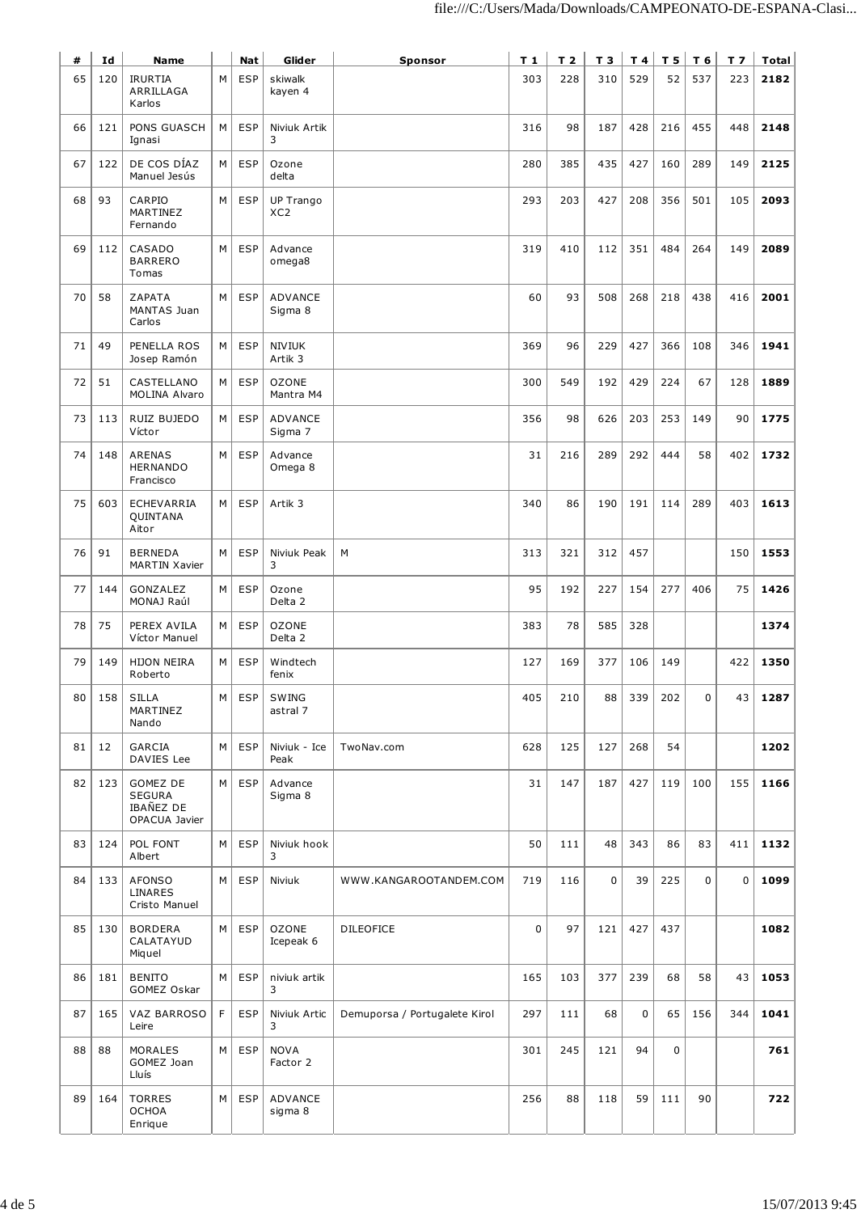| #  | Id       | <b>Name</b>                                             |   | <b>Nat</b> | Glider                              | Sponsor                       | $T_1$       | T <sub>2</sub> | T 3         |             | $T4$ T5     | T 6         | T <sub>7</sub> | Total |
|----|----------|---------------------------------------------------------|---|------------|-------------------------------------|-------------------------------|-------------|----------------|-------------|-------------|-------------|-------------|----------------|-------|
| 65 | 120      | <b>IRURTIA</b><br>ARRILLAGA<br>Karlos                   | M | <b>ESP</b> | skiwalk<br>kayen 4                  |                               | 303         | 228            | 310         | 529         | 52          | 537         | 223            | 2182  |
| 66 | 121      | PONS GUASCH<br>Ignasi                                   | M | <b>ESP</b> | Niviuk Artik<br>3                   |                               | 316         | 98             | 187         | 428         | 216         | 455         | 448            | 2148  |
| 67 | 122      | DE COS DÍAZ<br>Manuel Jesús                             | M | <b>ESP</b> | Ozone<br>delta                      |                               | 280         | 385            | 435         | 427         | 160         | 289         | 149            | 2125  |
| 68 | 93       | CARPIO<br>MARTINEZ<br>Fernando                          | M | <b>ESP</b> | <b>UP Trango</b><br>XC <sub>2</sub> |                               | 293         | 203            | 427         | 208         | 356         | 501         | 105            | 2093  |
| 69 | 112      | CASADO<br><b>BARRERO</b><br>Tomas                       | M | <b>ESP</b> | Advance<br>omega8                   |                               | 319         | 410            | 112         | 351         | 484         | 264         | 149            | 2089  |
| 70 | 58       | ZAPATA<br>MANTAS Juan<br>Carlos                         | M | <b>ESP</b> | <b>ADVANCE</b><br>Sigma 8           |                               | 60          | 93             | 508         | 268         | 218         | 438         | 416            | 2001  |
| 71 | 49       | PENELLA ROS<br>Josep Ramón                              | M | ESP        | <b>NIVIUK</b><br>Artik 3            |                               | 369         | 96             | 229         | 427         | 366         | 108         | 346            | 1941  |
| 72 | 51       | CASTELLANO<br>MOLINA Alvaro                             | M | <b>ESP</b> | <b>OZONE</b><br>Mantra M4           |                               | 300         | 549            | 192         | 429         | 224         | 67          | 128            | 1889  |
| 73 | 113      | RUIZ BUJEDO<br>Víctor                                   | M | <b>ESP</b> | <b>ADVANCE</b><br>Sigma 7           |                               | 356         | 98             | 626         | 203         | 253         | 149         | 90             | 1775  |
| 74 | 148      | <b>ARENAS</b><br><b>HERNANDO</b><br>Francisco           | M | <b>ESP</b> | Advance<br>Omega 8                  |                               | 31          | 216            | 289         | 292         | 444         | 58          | 402            | 1732  |
| 75 | 603      | <b>ECHEVARRIA</b><br>QUINTANA<br>Aitor                  | M | <b>ESP</b> | Artik 3                             |                               | 340         | 86             | 190         | 191         | 114         | 289         | 403            | 1613  |
| 76 | 91       | <b>BERNEDA</b><br><b>MARTIN Xavier</b>                  | M | <b>ESP</b> | Niviuk Peak<br>3                    | М                             | 313         | 321            | 312         | 457         |             |             | 150            | 1553  |
| 77 | 144      | GONZALEZ<br>MONAJ Raúl                                  | M | <b>ESP</b> | Ozone<br>Delta 2                    |                               | 95          | 192            | 227         | 154         | 277         | 406         | 75             | 1426  |
| 78 | 75       | PEREX AVILA<br>Víctor Manuel                            | M | <b>ESP</b> | <b>OZONE</b><br>Delta <sub>2</sub>  |                               | 383         | 78             | 585         | 328         |             |             |                | 1374  |
| 79 | 149      | <b>HIJON NEIRA</b><br>Roberto                           | M | <b>ESP</b> | Windtech<br>fenix                   |                               | 127         | 169            | 377         | 106         | 149         |             | 422            | 1350  |
|    | 80   158 | <b>SILLA</b><br>MARTINEZ<br>Nando                       |   | $M$ ESP    | SWING<br>astral 7                   |                               | 405         | 210            | 88          | 339 202     |             | $\mathbf 0$ | 43             | 1287  |
| 81 | 12       | <b>GARCIA</b><br>DAVIES Lee                             | М | <b>ESP</b> | Niviuk - Ice<br>Peak                | TwoNav.com                    | 628         | 125            | 127         | 268         | 54          |             |                | 1202  |
| 82 | 123      | GOMEZ DE<br>SEGURA<br><b>IBAÑEZ DE</b><br>OPACUA Javier | M | <b>ESP</b> | Advance<br>Sigma 8                  |                               | 31          | 147            | 187         | 427         | 119         | 100         | 155            | 1166  |
| 83 | 124      | POL FONT<br>Albert                                      | M | ESP        | Niviuk hook<br>3                    |                               | 50          | 111            | 48          | 343         | 86          | 83          | 411            | 1132  |
| 84 | 133      | <b>AFONSO</b><br>LINARES<br>Cristo Manuel               | м | <b>ESP</b> | Niviuk                              | WWW.KANGAROOTANDEM.COM        | 719         | 116            | $\mathbf 0$ | 39          | 225         | 0           | 0              | 1099  |
| 85 | 130      | <b>BORDERA</b><br>CALATAYUD<br>Miquel                   | M | ESP        | <b>OZONE</b><br>Icepeak 6           | <b>DILEOFICE</b>              | $\mathbf 0$ | 97             | 121         | 427         | 437         |             |                | 1082  |
| 86 | 181      | <b>BENITO</b><br>GOMEZ Oskar                            | M | <b>ESP</b> | niviuk artik<br>3                   |                               | 165         | 103            | 377         | 239         | 68          | 58          | 43             | 1053  |
| 87 | 165      | VAZ BARROSO<br>Leire                                    | F | <b>ESP</b> | Niviuk Artic<br>3                   | Demuporsa / Portugalete Kirol | 297         | 111            | 68          | $\mathbf 0$ | 65          | 156         | 344            | 1041  |
| 88 | 88       | <b>MORALES</b><br>GOMEZ Joan<br>Lluís                   | M | <b>ESP</b> | <b>NOVA</b><br>Factor 2             |                               | 301         | 245            | 121         | 94          | $\mathbf 0$ |             |                | 761   |
| 89 | 164      | <b>TORRES</b><br><b>OCHOA</b><br>Enrique                | M | ESP        | ADVANCE<br>sigma 8                  |                               | 256         | 88             | 118         | 59          | 111         | 90          |                | 722   |